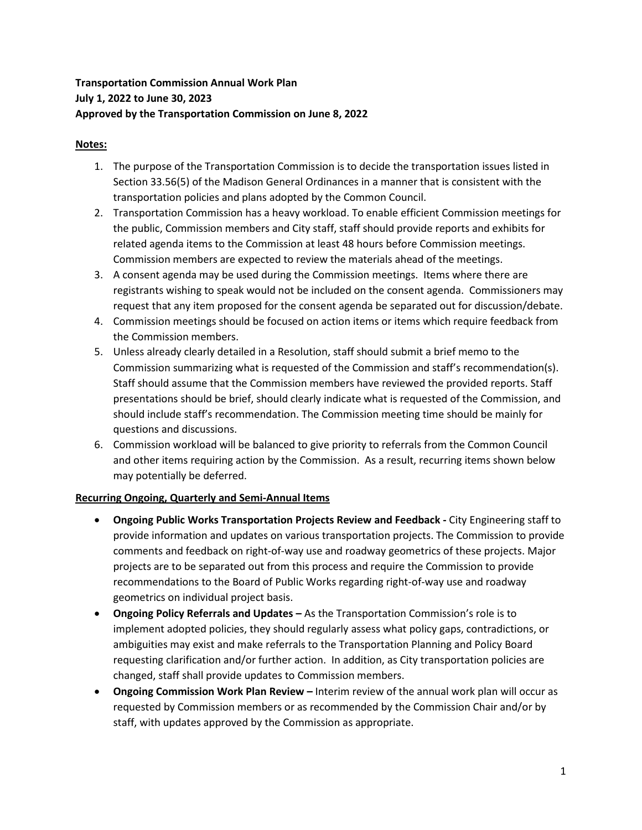# **Transportation Commission Annual Work Plan July 1, 2022 to June 30, 2023 Approved by the Transportation Commission on June 8, 2022**

## **Notes:**

- 1. The purpose of the Transportation Commission is to decide the transportation issues listed in Section 33.56(5) of the Madison General Ordinances in a manner that is consistent with the transportation policies and plans adopted by the Common Council.
- 2. Transportation Commission has a heavy workload. To enable efficient Commission meetings for the public, Commission members and City staff, staff should provide reports and exhibits for related agenda items to the Commission at least 48 hours before Commission meetings. Commission members are expected to review the materials ahead of the meetings.
- 3. A consent agenda may be used during the Commission meetings. Items where there are registrants wishing to speak would not be included on the consent agenda. Commissioners may request that any item proposed for the consent agenda be separated out for discussion/debate.
- 4. Commission meetings should be focused on action items or items which require feedback from the Commission members.
- 5. Unless already clearly detailed in a Resolution, staff should submit a brief memo to the Commission summarizing what is requested of the Commission and staff's recommendation(s). Staff should assume that the Commission members have reviewed the provided reports. Staff presentations should be brief, should clearly indicate what is requested of the Commission, and should include staff's recommendation. The Commission meeting time should be mainly for questions and discussions.
- 6. Commission workload will be balanced to give priority to referrals from the Common Council and other items requiring action by the Commission. As a result, recurring items shown below may potentially be deferred.

## **Recurring Ongoing, Quarterly and Semi-Annual Items**

- **Ongoing Public Works Transportation Projects Review and Feedback** City Engineering staff to provide information and updates on various transportation projects. The Commission to provide comments and feedback on right-of-way use and roadway geometrics of these projects. Major projects are to be separated out from this process and require the Commission to provide recommendations to the Board of Public Works regarding right-of-way use and roadway geometrics on individual project basis.
- **Ongoing Policy Referrals and Updates –** As the Transportation Commission's role is to implement adopted policies, they should regularly assess what policy gaps, contradictions, or ambiguities may exist and make referrals to the Transportation Planning and Policy Board requesting clarification and/or further action. In addition, as City transportation policies are changed, staff shall provide updates to Commission members.
- **Ongoing Commission Work Plan Review –** Interim review of the annual work plan will occur as requested by Commission members or as recommended by the Commission Chair and/or by staff, with updates approved by the Commission as appropriate.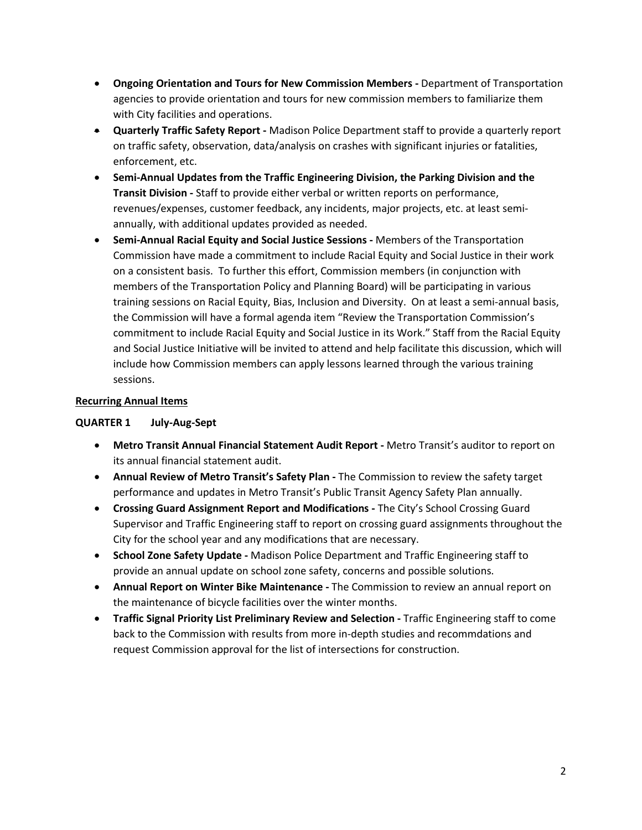- **Ongoing Orientation and Tours for New Commission Members -** Department of Transportation agencies to provide orientation and tours for new commission members to familiarize them with City facilities and operations.
- **Quarterly Traffic Safety Report -** Madison Police Department staff to provide a quarterly report on traffic safety, observation, data/analysis on crashes with significant injuries or fatalities, enforcement, etc.
- **Semi-Annual Updates from the Traffic Engineering Division, the Parking Division and the Transit Division -** Staff to provide either verbal or written reports on performance, revenues/expenses, customer feedback, any incidents, major projects, etc. at least semiannually, with additional updates provided as needed.
- **Semi-Annual Racial Equity and Social Justice Sessions -** Members of the Transportation Commission have made a commitment to include Racial Equity and Social Justice in their work on a consistent basis. To further this effort, Commission members (in conjunction with members of the Transportation Policy and Planning Board) will be participating in various training sessions on Racial Equity, Bias, Inclusion and Diversity. On at least a semi-annual basis, the Commission will have a formal agenda item "Review the Transportation Commission's commitment to include Racial Equity and Social Justice in its Work." Staff from the Racial Equity and Social Justice Initiative will be invited to attend and help facilitate this discussion, which will include how Commission members can apply lessons learned through the various training sessions.

### **Recurring Annual Items**

#### **QUARTER 1 July-Aug-Sept**

- **Metro Transit Annual Financial Statement Audit Report -** Metro Transit's auditor to report on its annual financial statement audit.
- **Annual Review of Metro Transit's Safety Plan** The Commission to review the safety target performance and updates in Metro Transit's Public Transit Agency Safety Plan annually.
- **Crossing Guard Assignment Report and Modifications -** The City's School Crossing Guard Supervisor and Traffic Engineering staff to report on crossing guard assignments throughout the City for the school year and any modifications that are necessary.
- **School Zone Safety Update -** Madison Police Department and Traffic Engineering staff to provide an annual update on school zone safety, concerns and possible solutions.
- **Annual Report on Winter Bike Maintenance** The Commission to review an annual report on the maintenance of bicycle facilities over the winter months.
- **Traffic Signal Priority List Preliminary Review and Selection -** Traffic Engineering staff to come back to the Commission with results from more in-depth studies and recommdations and request Commission approval for the list of intersections for construction.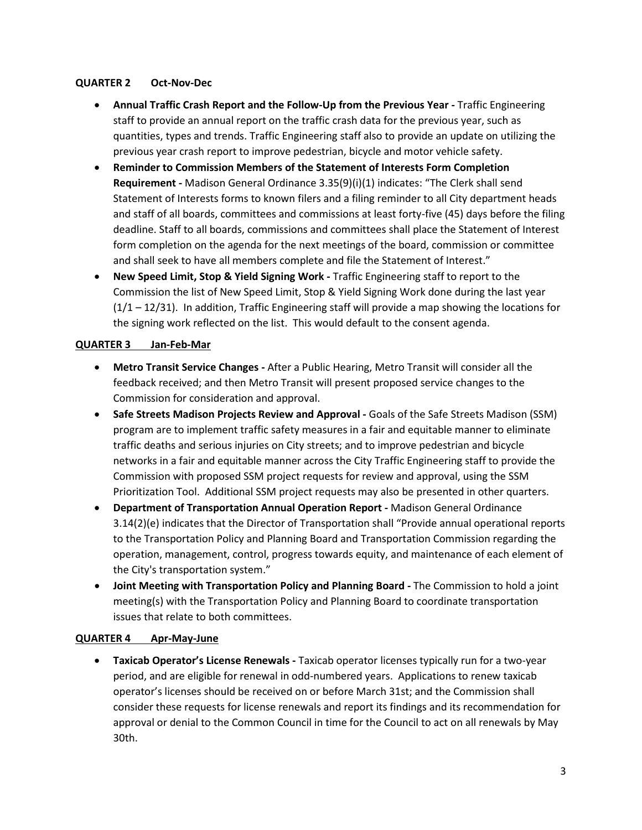#### **QUARTER 2 Oct-Nov-Dec**

- Annual Traffic Crash Report and the Follow-Up from the Previous Year Traffic Engineering staff to provide an annual report on the traffic crash data for the previous year, such as quantities, types and trends. Traffic Engineering staff also to provide an update on utilizing the previous year crash report to improve pedestrian, bicycle and motor vehicle safety.
- **Reminder to Commission Members of the Statement of Interests Form Completion Requirement -** Madison General Ordinance 3.35(9)(i)(1) indicates: "The Clerk shall send Statement of Interests forms to known filers and a filing reminder to all City department heads and staff of all boards, committees and commissions at least forty-five (45) days before the filing deadline. Staff to all boards, commissions and committees shall place the Statement of Interest form completion on the agenda for the next meetings of the board, commission or committee and shall seek to have all members complete and file the Statement of Interest."
- **New Speed Limit, Stop & Yield Signing Work -** Traffic Engineering staff to report to the Commission the list of New Speed Limit, Stop & Yield Signing Work done during the last year  $(1/1 - 12/31)$ . In addition, Traffic Engineering staff will provide a map showing the locations for the signing work reflected on the list. This would default to the consent agenda.

### **QUARTER 3 Jan-Feb-Mar**

- **Metro Transit Service Changes -** After a Public Hearing, Metro Transit will consider all the feedback received; and then Metro Transit will present proposed service changes to the Commission for consideration and approval.
- **Safe Streets Madison Projects Review and Approval** Goals of the Safe Streets Madison (SSM) program are to implement traffic safety measures in a fair and equitable manner to eliminate traffic deaths and serious injuries on City streets; and to improve pedestrian and bicycle networks in a fair and equitable manner across the City Traffic Engineering staff to provide the Commission with proposed SSM project requests for review and approval, using the SSM Prioritization Tool. Additional SSM project requests may also be presented in other quarters.
- **Department of Transportation Annual Operation Report -** Madison General Ordinance 3.14(2)(e) indicates that the Director of Transportation shall "Provide annual operational reports to the Transportation Policy and Planning Board and Transportation Commission regarding the operation, management, control, progress towards equity, and maintenance of each element of the City's transportation system."
- **Joint Meeting with Transportation Policy and Planning Board -** The Commission to hold a joint meeting(s) with the Transportation Policy and Planning Board to coordinate transportation issues that relate to both committees.

#### **QUARTER 4 Apr-May-June**

• **Taxicab Operator's License Renewals -** Taxicab operator licenses typically run for a two-year period, and are eligible for renewal in odd-numbered years. Applications to renew taxicab operator's licenses should be received on or before March 31st; and the Commission shall consider these requests for license renewals and report its findings and its recommendation for approval or denial to the Common Council in time for the Council to act on all renewals by May 30th.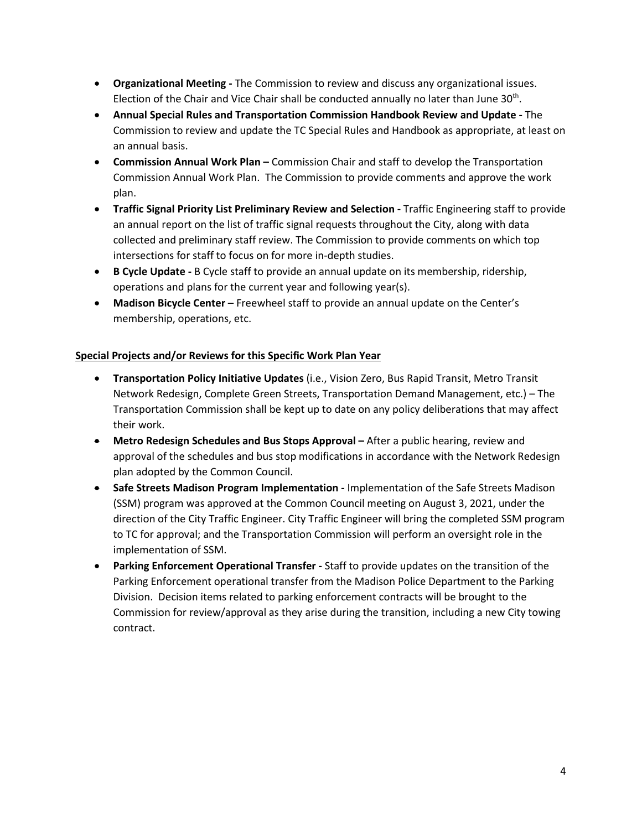- **Organizational Meeting -** The Commission to review and discuss any organizational issues. Election of the Chair and Vice Chair shall be conducted annually no later than June  $30<sup>th</sup>$ .
- **Annual Special Rules and Transportation Commission Handbook Review and Update** The Commission to review and update the TC Special Rules and Handbook as appropriate, at least on an annual basis.
- **Commission Annual Work Plan –** Commission Chair and staff to develop the Transportation Commission Annual Work Plan. The Commission to provide comments and approve the work plan.
- **Traffic Signal Priority List Preliminary Review and Selection -** Traffic Engineering staff to provide an annual report on the list of traffic signal requests throughout the City, along with data collected and preliminary staff review. The Commission to provide comments on which top intersections for staff to focus on for more in-depth studies.
- **B Cycle Update -** B Cycle staff to provide an annual update on its membership, ridership, operations and plans for the current year and following year(s).
- **Madison Bicycle Center** Freewheel staff to provide an annual update on the Center's membership, operations, etc.

# **Special Projects and/or Reviews for this Specific Work Plan Year**

- **Transportation Policy Initiative Updates** (i.e., Vision Zero, Bus Rapid Transit, Metro Transit Network Redesign, Complete Green Streets, Transportation Demand Management, etc.) – The Transportation Commission shall be kept up to date on any policy deliberations that may affect their work.
- **Metro Redesign Schedules and Bus Stops Approval –** After a public hearing, review and approval of the schedules and bus stop modifications in accordance with the Network Redesign plan adopted by the Common Council.
- **Safe Streets Madison Program Implementation -** Implementation of the Safe Streets Madison (SSM) program was approved at the Common Council meeting on August 3, 2021, under the direction of the City Traffic Engineer. City Traffic Engineer will bring the completed SSM program to TC for approval; and the Transportation Commission will perform an oversight role in the implementation of SSM.
- **Parking Enforcement Operational Transfer -** Staff to provide updates on the transition of the Parking Enforcement operational transfer from the Madison Police Department to the Parking Division. Decision items related to parking enforcement contracts will be brought to the Commission for review/approval as they arise during the transition, including a new City towing contract.